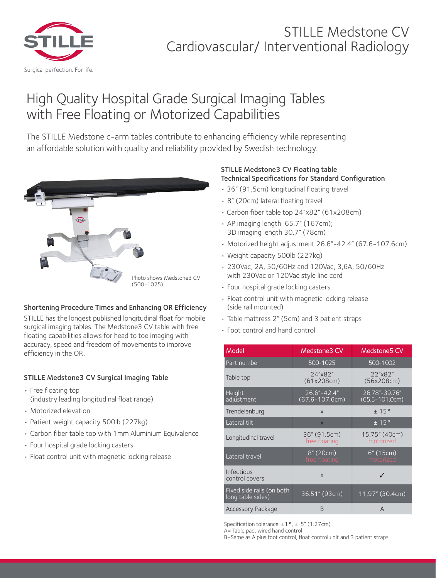

## STILLE Medstone CV Cardiovascular/ Interventional Radiology

# High Quality Hospital Grade Surgical Imaging Tables with Free Floating or Motorized Capabilities

The STILLE Medstone c-arm tables contribute to enhancing efficiency while representing an affordable solution with quality and reliability provided by Swedish technology.



## Shortening Procedure Times and Enhancing OR Efficiency

STILLE has the longest published longitudinal float for mobile surgical imaging tables. The Medstone3 CV table with free floating capabilities allows for head to toe imaging with accuracy, speed and freedom of movements to improve efficiency in the OR.

## STILLE Medstone3 CV Surgical Imaging Table

- Free floating top (industry leading longitudinal float range)
- Motorized elevation
- Patient weight capacity 500lb (227kg)
- Carbon fiber table top with 1mm Aluminium Equivalence
- Four hospital grade locking casters
- Float control unit with magnetic locking release

### STILLE Medstone3 CV Floating table Technical Specifications for Standard Configuration

- 36" (91,5cm) longitudinal floating travel
- 8" (20cm) lateral floating travel
- Carbon fiber table top 24"x82" (61x208cm)
- AP imaging length 65.7" (167cm); 3D imaging length 30.7" (78cm)
- Motorized height adjustment 26.6"-42.4" (67.6-107.6cm)
- Weight capacity 500lb (227kg)
- 230Vac, 2A, 50/60Hz and 120Vac, 3,6A, 50/60Hz with 230Vac or 120Vac style line cord
- Four hospital grade locking casters
- Float control unit with magnetic locking release (side rail mounted)
- Table mattress 2" (5cm) and 3 patient straps
- Foot control and hand control

| Model                                          | <b>Medstone3 CV</b>                 | <b>Medstone5 CV</b>                 |
|------------------------------------------------|-------------------------------------|-------------------------------------|
| Part number                                    | 500-1025                            | 500-1002                            |
| Table top                                      | 24"x82"<br>(61x208cm)               | 22"x82"<br>(56x208cm)               |
| Height<br>adjustment                           | $26.6 - 42.4$<br>$(67.6 - 107.6cm)$ | 26.78"-39.76"<br>$(65.5 - 101.0cm)$ |
| Trendelenburg                                  | $\mathsf{x}$                        | ±15°                                |
| Lateral tilt                                   | $\times$                            | ±15°                                |
| Longitudinal travel                            | 36" (91.5cm)<br>free floating       | 15.75" (40cm)<br>motorized          |
| Lateral travel                                 | 8" (20cm)<br>free floating          | 6" (15cm)<br>motorized              |
| Infectious<br>control covers                   | $\mathsf{x}$                        |                                     |
| Fixed side rails (on both<br>long table sides) | 36.51" (93cm)                       | 11,97" (30.4cm)                     |
| <b>Accessory Package</b>                       | B                                   | A                                   |

|<br>Specification tolerance: ±1 ° , ± .5" (1.27cm)

A= Table pad, wired hand control

B=Same as A plus foot control, float control unit and 3 patient straps